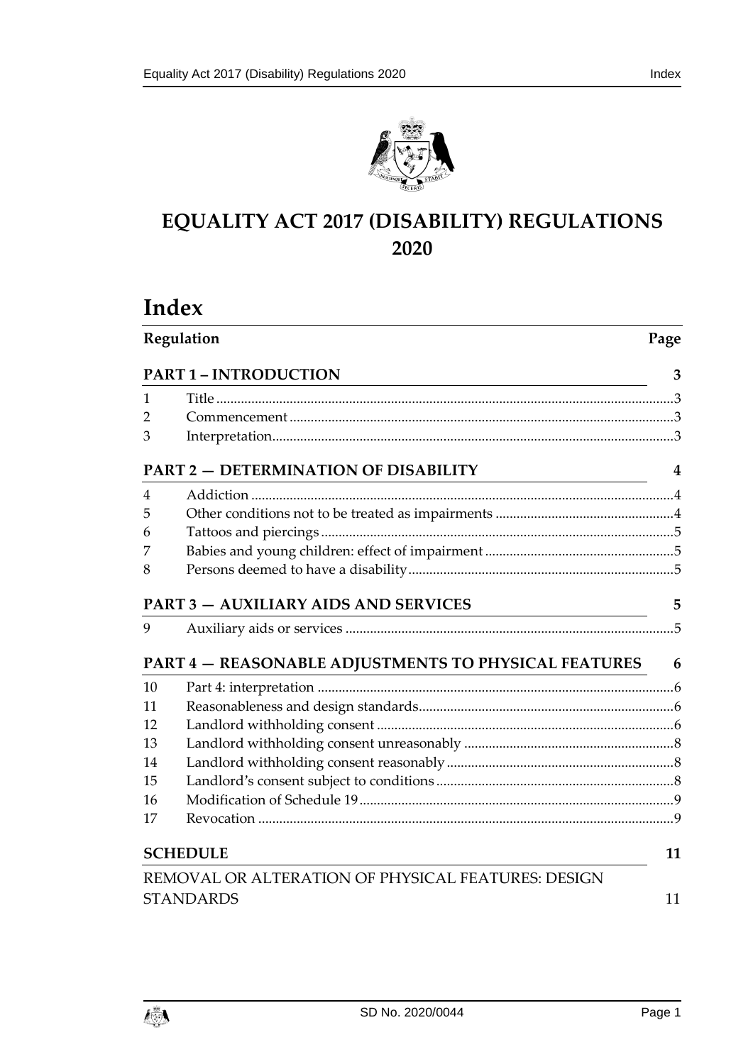



# **EQUALITY ACT 2017 (DISABILITY) REGULATIONS 2020**

# **Index**

| Regulation                                  |                                                                                            | Page |  |
|---------------------------------------------|--------------------------------------------------------------------------------------------|------|--|
|                                             | <b>PART 1 - INTRODUCTION</b><br><u> 1980 - Johann Barn, amerikansk politiker (d. 1980)</u> | 3    |  |
| 1                                           |                                                                                            |      |  |
| 2                                           |                                                                                            |      |  |
| 3                                           |                                                                                            |      |  |
|                                             | <b>PART 2 - DETERMINATION OF DISABILITY</b>                                                | 4    |  |
| 4                                           |                                                                                            |      |  |
| 5                                           |                                                                                            |      |  |
| 6                                           |                                                                                            |      |  |
| 7                                           |                                                                                            |      |  |
| 8                                           |                                                                                            |      |  |
| <b>PART 3 - AUXILIARY AIDS AND SERVICES</b> |                                                                                            | 5    |  |
| 9                                           |                                                                                            |      |  |
|                                             | <b>PART 4 – REASONABLE ADJUSTMENTS TO PHYSICAL FEATURES</b>                                | 6    |  |
| 10                                          |                                                                                            |      |  |
| 11                                          |                                                                                            |      |  |
| 12                                          |                                                                                            |      |  |
| 13                                          |                                                                                            |      |  |
| 14                                          |                                                                                            |      |  |
| 15                                          |                                                                                            |      |  |
| 16                                          |                                                                                            |      |  |
| 17                                          |                                                                                            |      |  |
| <b>SCHEDULE</b>                             |                                                                                            | 11   |  |
|                                             | REMOVAL OR ALTERATION OF PHYSICAL FEATURES: DESIGN                                         |      |  |
| <b>STANDARDS</b>                            |                                                                                            | 11   |  |

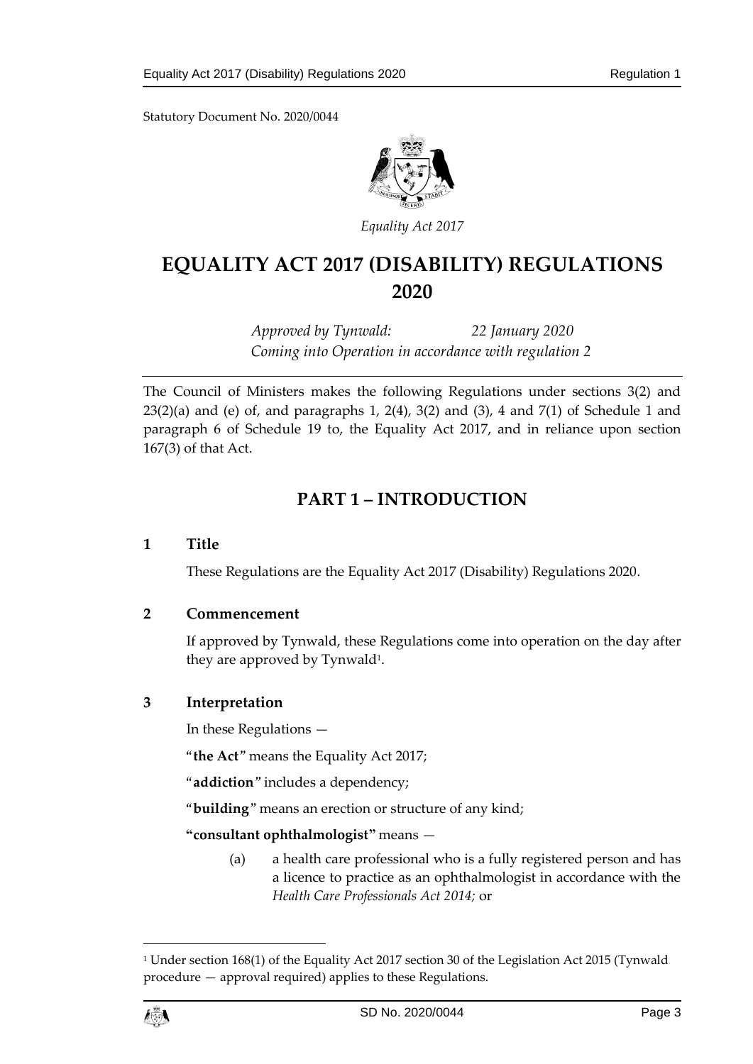

*Equality Act 2017*

# **EQUALITY ACT 2017 (DISABILITY) REGULATIONS 2020**

*Approved by Tynwald: 22 January 2020 Coming into Operation in accordance with regulation 2*

The Council of Ministers makes the following Regulations under sections 3(2) and  $23(2)(a)$  and (e) of, and paragraphs 1, 2(4), 3(2) and (3), 4 and 7(1) of Schedule 1 and paragraph 6 of Schedule 19 to, the Equality Act 2017, and in reliance upon section 167(3) of that Act.

# **PART 1 – INTRODUCTION**

# <span id="page-2-1"></span><span id="page-2-0"></span>**1 Title**

These Regulations are the Equality Act 2017 (Disability) Regulations 2020.

# <span id="page-2-2"></span>**2 Commencement**

If approved by Tynwald, these Regulations come into operation on the day after they are approved by Tynwald<sup>1</sup>.

# <span id="page-2-3"></span>**3 Interpretation**

In these Regulations —

"**the Act**" means the Equality Act 2017;

"**addiction**" includes a dependency;

"**building**" means an erection or structure of any kind;

**"consultant ophthalmologist"** means —

(a) a health care professional who is a fully registered person and has a licence to practice as an ophthalmologist in accordance with the *Health Care Professionals Act 2014;* or

<sup>1</sup> Under section 168(1) of the Equality Act 2017 section 30 of the Legislation Act 2015 (Tynwald procedure — approval required) applies to these Regulations.



 $\overline{a}$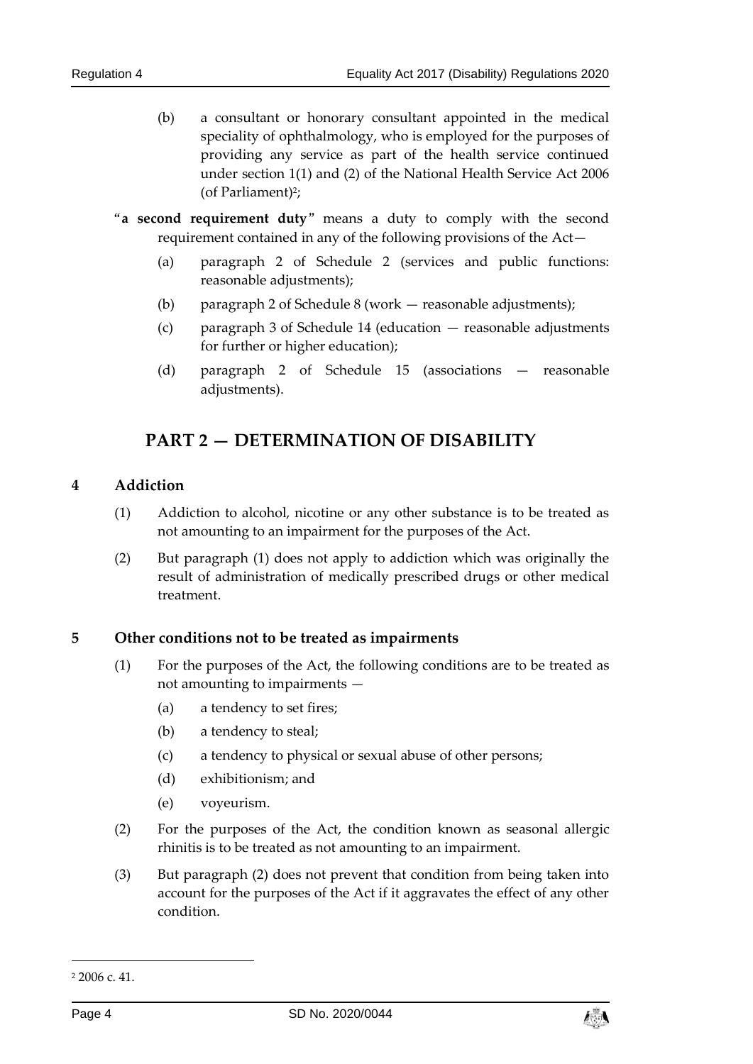- (b) a consultant or honorary consultant appointed in the medical speciality of ophthalmology, who is employed for the purposes of providing any service as part of the health service continued under [section 1\(1\) and \(2\)](https://login.westlaw.co.uk/maf/wluk/app/document?src=doc&linktype=ref&context=47&crumb-action=replace&docguid=IC111F550829111DBA731C284100B17B4) of the [National Health Service Act 2006](https://login.westlaw.co.uk/maf/wluk/app/document?src=doc&linktype=ref&context=47&crumb-action=replace&docguid=IB52C6920827611DB8C83CEF6F6DAF4CB) (of Parliament)<sup>2</sup>;
- "**a second requirement duty**" means a duty to comply with the second requirement contained in any of the following provisions of the Act—
	- (a) paragraph 2 of Schedule 2 (services and public functions: reasonable adjustments);
	- (b) paragraph 2 of Schedule 8 (work reasonable adjustments);
	- (c) paragraph 3 of Schedule 14 (education reasonable adjustments for further or higher education);
	- (d) paragraph 2 of Schedule 15 (associations reasonable adjustments).

# **PART 2 — DETERMINATION OF DISABILITY**

# <span id="page-3-1"></span><span id="page-3-0"></span>**4 Addiction**

- (1) Addiction to alcohol, nicotine or any other substance is to be treated as not amounting to an impairment for the purposes of the Act.
- (2) But paragraph (1) does not apply to addiction which was originally the result of administration of medically prescribed drugs or other medical treatment.

# <span id="page-3-2"></span>**5 Other conditions not to be treated as impairments**

- (1) For the purposes of the Act, the following conditions are to be treated as not amounting to impairments —
	- (a) a tendency to set fires;
	- (b) a tendency to steal;
	- (c) a tendency to physical or sexual abuse of other persons;
	- (d) exhibitionism; and
	- (e) voyeurism.
- (2) For the purposes of the Act, the condition known as seasonal allergic rhinitis is to be treated as not amounting to an impairment.
- (3) But paragraph (2) does not prevent that condition from being taken into account for the purposes of the Act if it aggravates the effect of any other condition.

-



<sup>2</sup> 2006 c. 41.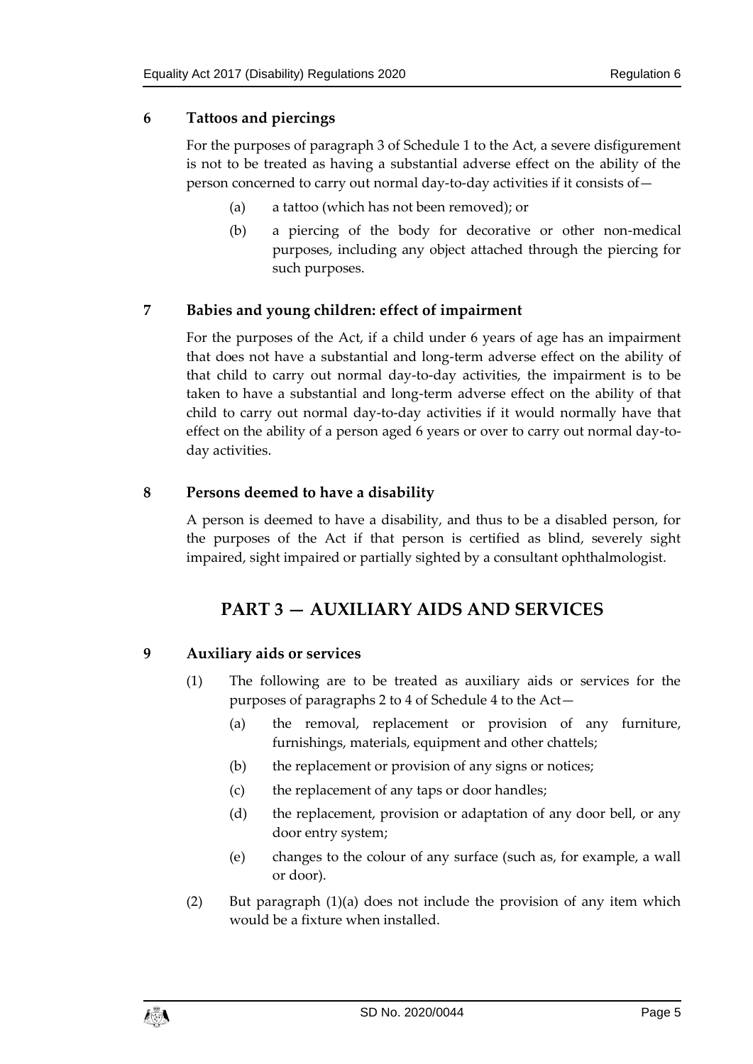# <span id="page-4-0"></span>**6 Tattoos and piercings**

For the purposes of paragraph 3 of Schedule 1 to the Act, a severe disfigurement is not to be treated as having a substantial adverse effect on the ability of the person concerned to carry out normal day-to-day activities if it consists of—

- (a) a tattoo (which has not been removed); or
- (b) a piercing of the body for decorative or other non-medical purposes, including any object attached through the piercing for such purposes.

# <span id="page-4-1"></span>**7 Babies and young children: effect of impairment**

For the purposes of the Act, if a child under 6 years of age has an impairment that does not have a substantial and long-term adverse effect on the ability of that child to carry out normal day-to-day activities, the impairment is to be taken to have a substantial and long-term adverse effect on the ability of that child to carry out normal day-to-day activities if it would normally have that effect on the ability of a person aged 6 years or over to carry out normal day-today activities.

# <span id="page-4-2"></span>**8 Persons deemed to have a disability**

<span id="page-4-3"></span>A person is deemed to have a disability, and thus to be a disabled person, for the purposes of the Act if that person is certified as blind, severely sight impaired, sight impaired or partially sighted by a consultant ophthalmologist.

# **PART 3 — AUXILIARY AIDS AND SERVICES**

# <span id="page-4-4"></span>**9 Auxiliary aids or services**

- (1) The following are to be treated as auxiliary aids or services for the purposes of paragraphs 2 to 4 of Schedule 4 to the Act—
	- (a) the removal, replacement or provision of any furniture, furnishings, materials, equipment and other chattels;
	- (b) the replacement or provision of any signs or notices;
	- (c) the replacement of any taps or door handles;
	- (d) the replacement, provision or adaptation of any door bell, or any door entry system;
	- (e) changes to the colour of any surface (such as, for example, a wall or door).
- (2) But paragraph (1)(a) does not include the provision of any item which would be a fixture when installed.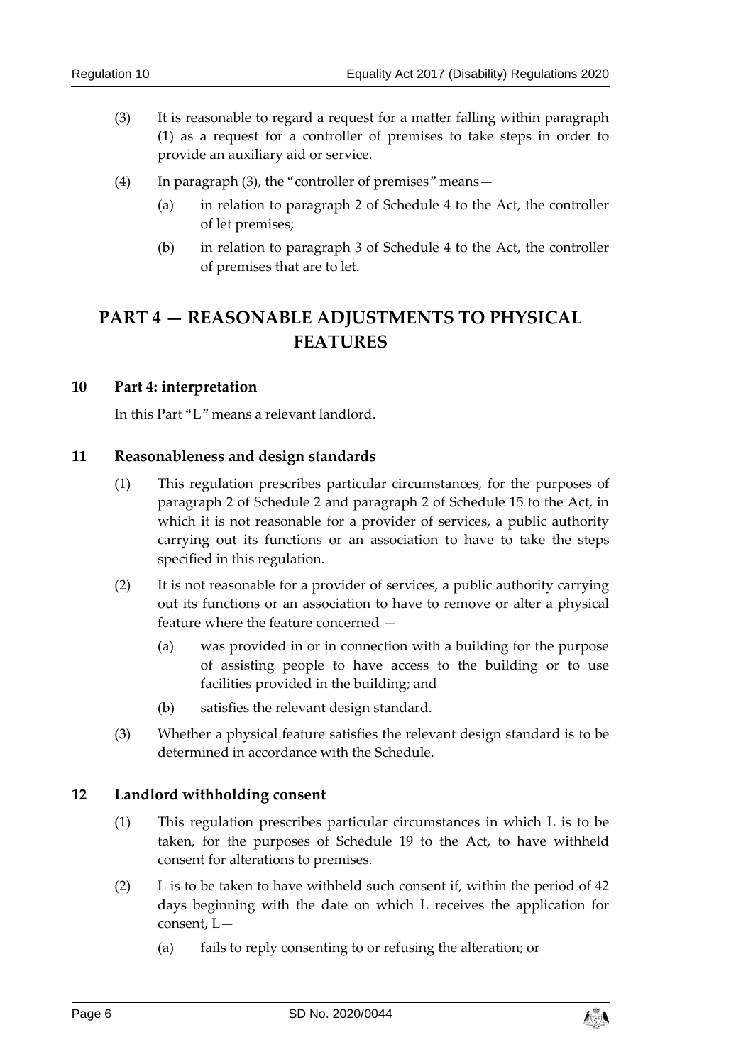- (3) It is reasonable to regard a request for a matter falling within paragraph (1) as a request for a controller of premises to take steps in order to provide an auxiliary aid or service.
- (4) In paragraph (3), the "controller of premises" means—
	- (a) in relation to paragraph 2 of Schedule 4 to the Act, the controller of let premises;
	- (b) in relation to paragraph 3 of Schedule 4 to the Act, the controller of premises that are to let.

# <span id="page-5-0"></span>**PART 4 — REASONABLE ADJUSTMENTS TO PHYSICAL FEATURES**

#### <span id="page-5-1"></span>**10 Part 4: interpretation**

In this Part "L" means a relevant landlord.

#### <span id="page-5-2"></span>**11 Reasonableness and design standards**

- (1) This regulation prescribes particular circumstances, for the purposes of paragraph 2 of Schedule 2 and paragraph 2 of Schedule 15 to the Act, in which it is not reasonable for a provider of services, a public authority carrying out its functions or an association to have to take the steps specified in this regulation.
- (2) It is not reasonable for a provider of services, a public authority carrying out its functions or an association to have to remove or alter a physical feature where the feature concerned —
	- (a) was provided in or in connection with a building for the purpose of assisting people to have access to the building or to use facilities provided in the building; and
	- (b) satisfies the relevant design standard.
- (3) Whether a physical feature satisfies the relevant design standard is to be determined in accordance with the Schedule.

# <span id="page-5-3"></span>**12 Landlord withholding consent**

- (1) This regulation prescribes particular circumstances in which L is to be taken, for the purposes of Schedule 19 to the Act, to have withheld consent for alterations to premises.
- (2) L is to be taken to have withheld such consent if, within the period of 42 days beginning with the date on which L receives the application for consent, L—
	- (a) fails to reply consenting to or refusing the alteration; or

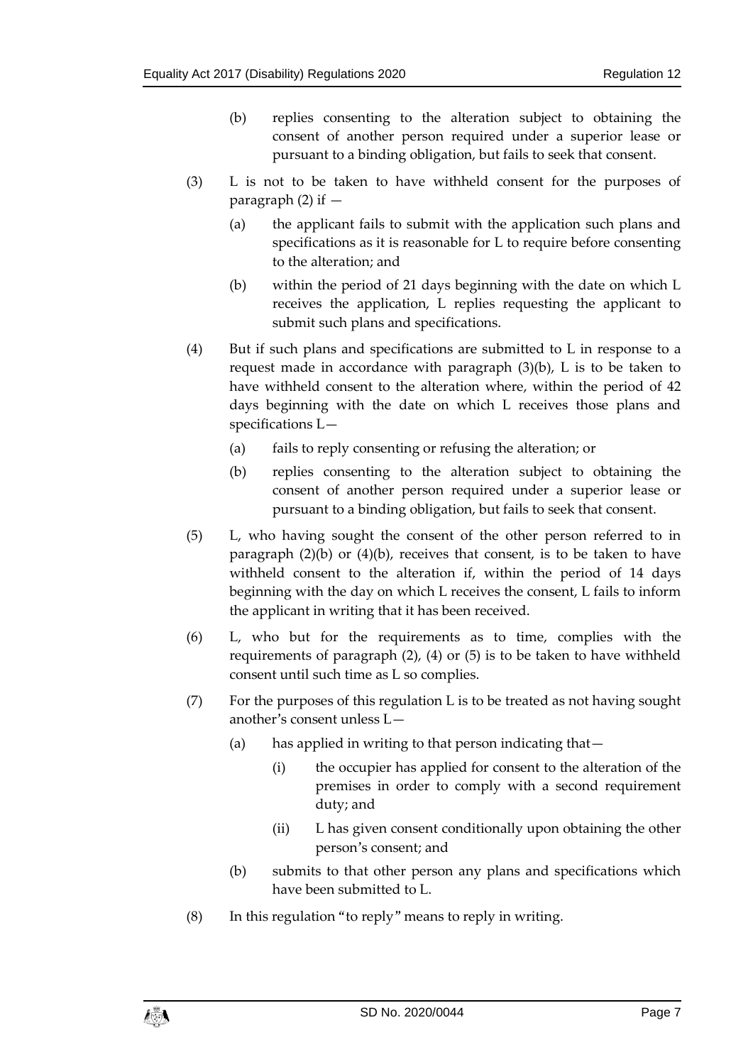- (b) replies consenting to the alteration subject to obtaining the consent of another person required under a superior lease or pursuant to a binding obligation, but fails to seek that consent.
- (3) L is not to be taken to have withheld consent for the purposes of paragraph  $(2)$  if  $-$ 
	- (a) the applicant fails to submit with the application such plans and specifications as it is reasonable for L to require before consenting to the alteration; and
	- (b) within the period of 21 days beginning with the date on which L receives the application, L replies requesting the applicant to submit such plans and specifications.
- (4) But if such plans and specifications are submitted to L in response to a request made in accordance with paragraph (3)(b), L is to be taken to have withheld consent to the alteration where, within the period of 42 days beginning with the date on which L receives those plans and specifications L—
	- (a) fails to reply consenting or refusing the alteration; or
	- (b) replies consenting to the alteration subject to obtaining the consent of another person required under a superior lease or pursuant to a binding obligation, but fails to seek that consent.
- (5) L, who having sought the consent of the other person referred to in paragraph  $(2)(b)$  or  $(4)(b)$ , receives that consent, is to be taken to have withheld consent to the alteration if, within the period of 14 days beginning with the day on which L receives the consent, L fails to inform the applicant in writing that it has been received.
- (6) L, who but for the requirements as to time, complies with the requirements of paragraph (2), (4) or (5) is to be taken to have withheld consent until such time as L so complies.
- (7) For the purposes of this regulation L is to be treated as not having sought another's consent unless L—
	- (a) has applied in writing to that person indicating that—
		- (i) the occupier has applied for consent to the alteration of the premises in order to comply with a second requirement duty; and
		- (ii) L has given consent conditionally upon obtaining the other person's consent; and
	- (b) submits to that other person any plans and specifications which have been submitted to L.
- (8) In this regulation "to reply" means to reply in writing.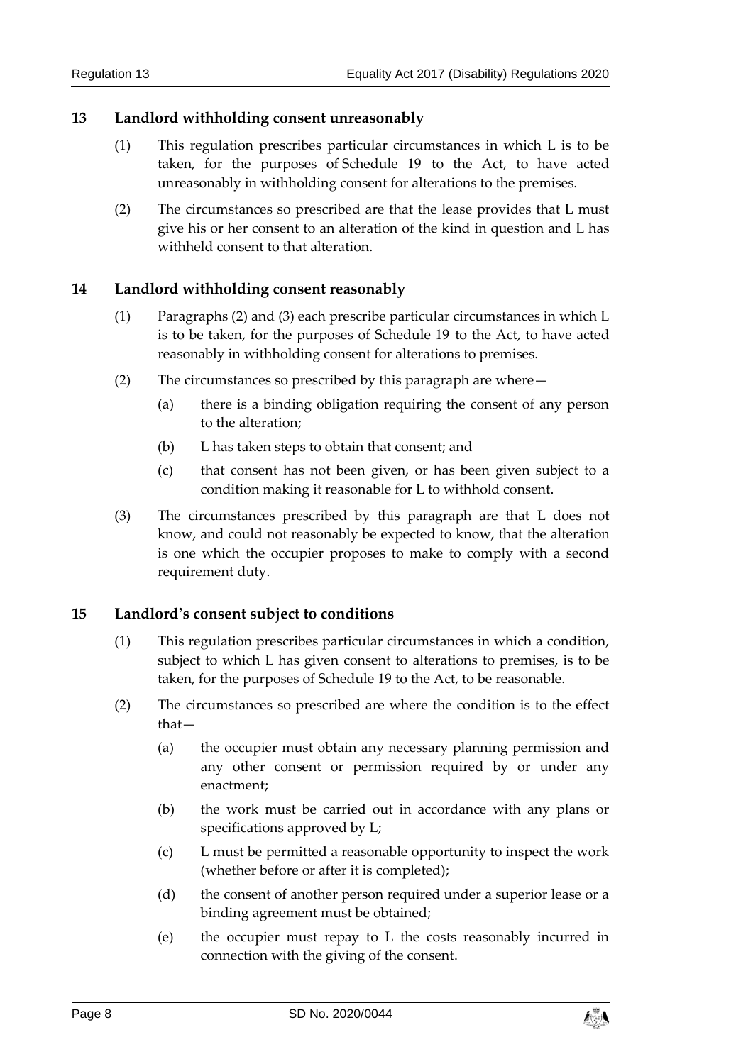# <span id="page-7-0"></span>**13 Landlord withholding consent unreasonably**

- (1) This regulation prescribes particular circumstances in which L is to be taken, for the purposes of Schedule 19 to the Act, to have acted unreasonably in withholding consent for alterations to the premises.
- (2) The circumstances so prescribed are that the lease provides that L must give his or her consent to an alteration of the kind in question and L has withheld consent to that alteration.

# <span id="page-7-1"></span>**14 Landlord withholding consent reasonably**

- (1) Paragraphs (2) and (3) each prescribe particular circumstances in which L is to be taken, for the purposes of Schedule 19 to the Act, to have acted reasonably in withholding consent for alterations to premises.
- (2) The circumstances so prescribed by this paragraph are where—
	- (a) there is a binding obligation requiring the consent of any person to the alteration;
	- (b) L has taken steps to obtain that consent; and
	- (c) that consent has not been given, or has been given subject to a condition making it reasonable for L to withhold consent.
- (3) The circumstances prescribed by this paragraph are that L does not know, and could not reasonably be expected to know, that the alteration is one which the occupier proposes to make to comply with a second requirement duty.

# <span id="page-7-2"></span>**15 Landlord's consent subject to conditions**

- (1) This regulation prescribes particular circumstances in which a condition, subject to which L has given consent to alterations to premises, is to be taken, for the purposes of Schedule 19 to the Act, to be reasonable.
- (2) The circumstances so prescribed are where the condition is to the effect that—
	- (a) the occupier must obtain any necessary planning permission and any other consent or permission required by or under any enactment;
	- (b) the work must be carried out in accordance with any plans or specifications approved by L;
	- (c) L must be permitted a reasonable opportunity to inspect the work (whether before or after it is completed);
	- (d) the consent of another person required under a superior lease or a binding agreement must be obtained;
	- (e) the occupier must repay to L the costs reasonably incurred in connection with the giving of the consent.

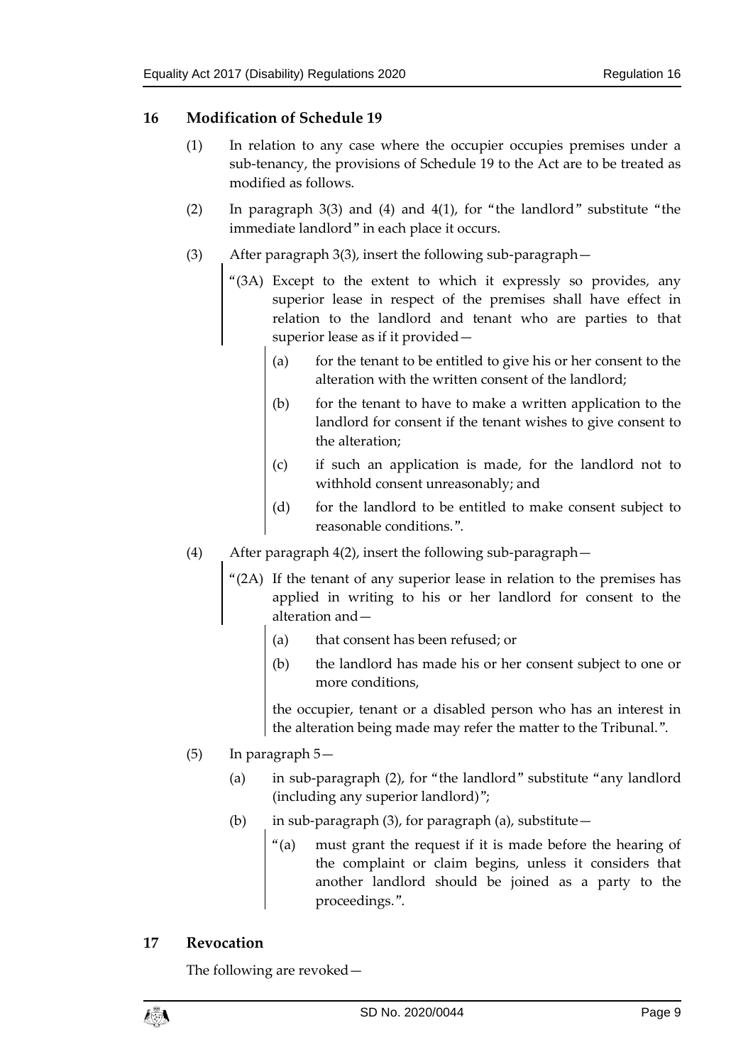# <span id="page-8-0"></span>**16 Modification of Schedule 19**

- (1) In relation to any case where the occupier occupies premises under a sub-tenancy, the provisions of Schedule 19 to the Act are to be treated as modified as follows.
- (2) In paragraph 3(3) and (4) and 4(1), for "the landlord" substitute "the immediate landlord" in each place it occurs.
- (3) After paragraph 3(3), insert the following sub-paragraph—
	- "(3A) Except to the extent to which it expressly so provides, any superior lease in respect of the premises shall have effect in relation to the landlord and tenant who are parties to that superior lease as if it provided—
		- (a) for the tenant to be entitled to give his or her consent to the alteration with the written consent of the landlord;
		- (b) for the tenant to have to make a written application to the landlord for consent if the tenant wishes to give consent to the alteration;
		- (c) if such an application is made, for the landlord not to withhold consent unreasonably; and
		- (d) for the landlord to be entitled to make consent subject to reasonable conditions.".
- (4) After paragraph 4(2), insert the following sub-paragraph—
	- "(2A) If the tenant of any superior lease in relation to the premises has applied in writing to his or her landlord for consent to the alteration and—
		- (a) that consent has been refused; or
		- (b) the landlord has made his or her consent subject to one or more conditions,

the occupier, tenant or a disabled person who has an interest in the alteration being made may refer the matter to the Tribunal.".

- (5) In paragraph 5—
	- (a) in sub-paragraph (2), for "the landlord" substitute "any landlord (including any superior landlord)";
	- (b) in sub-paragraph (3), for paragraph (a), substitute  $-$ 
		- "(a) must grant the request if it is made before the hearing of the complaint or claim begins, unless it considers that another landlord should be joined as a party to the proceedings.".

# <span id="page-8-1"></span>**17 Revocation**

The following are revoked—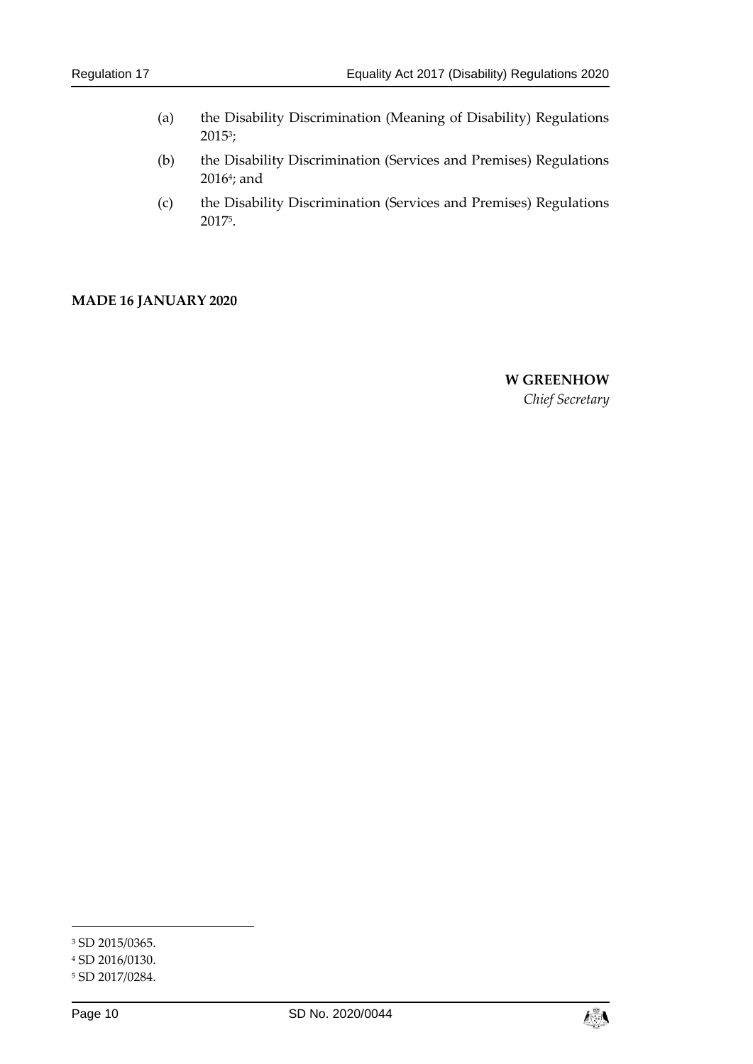- (a) the Disability Discrimination (Meaning of Disability) Regulations  $2015^3;$
- (b) the Disability Discrimination (Services and Premises) Regulations 2016<sup>4</sup>; and
- (c) the Disability Discrimination (Services and Premises) Regulations 2017<sup>5</sup> .

#### **MADE 16 JANUARY 2020**

**W GREENHOW** *Chief Secretary*

-



<sup>3</sup> SD 2015/0365.

<sup>4</sup> SD 2016/0130.

<sup>5</sup> SD 2017/0284.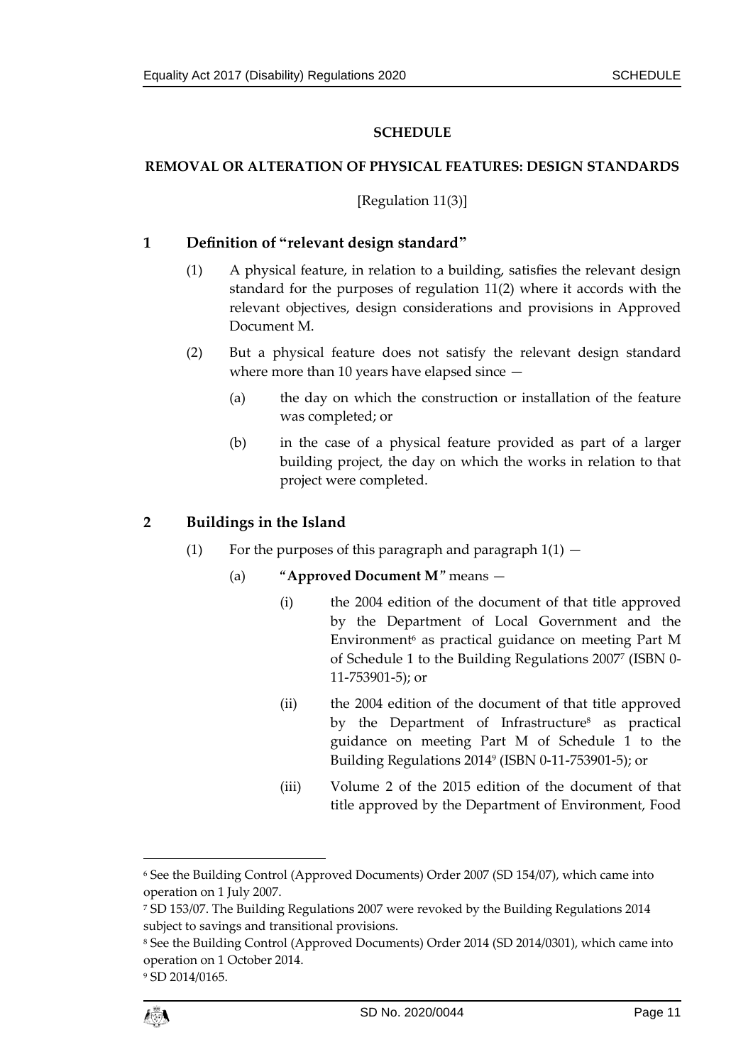## **SCHEDULE**

## <span id="page-10-1"></span><span id="page-10-0"></span>**REMOVAL OR ALTERATION OF PHYSICAL FEATURES: DESIGN STANDARDS**

## [Regulation 11(3)]

# **1 Definition of "relevant design standard"**

- (1) A physical feature, in relation to a building, satisfies the relevant design standard for the purposes of regulation 11(2) where it accords with the relevant objectives, design considerations and provisions in Approved Document M.
- (2) But a physical feature does not satisfy the relevant design standard where more than 10 years have elapsed since —
	- (a) the day on which the construction or installation of the feature was completed; or
	- (b) in the case of a physical feature provided as part of a larger building project, the day on which the works in relation to that project were completed.

# **2 Buildings in the Island**

- (1) For the purposes of this paragraph and paragraph  $1(1)$ 
	- (a) "**Approved Document M**" means
		- (i) the 2004 edition of the document of that title approved by the Department of Local Government and the Environment<sup>6</sup> as practical guidance on meeting Part M of Schedule 1 to the Building Regulations 2007<sup>7</sup> (ISBN 0- 11-753901-5); or
		- (ii) the 2004 edition of the document of that title approved by the Department of Infrastructure<sup>8</sup> as practical guidance on meeting Part M of Schedule 1 to the Building Regulations 2014<sup>9</sup> (ISBN 0-11-753901-5); or
		- (iii) Volume 2 of the 2015 edition of the document of that title approved by the Department of Environment, Food

<sup>9</sup> SD 2014/0165.



1

<sup>6</sup> See the Building Control (Approved Documents) Order 2007 (SD 154/07), which came into operation on 1 July 2007.

<sup>7</sup> SD 153/07. The Building Regulations 2007 were revoked by the Building Regulations 2014 subject to savings and transitional provisions.

<sup>8</sup> See the Building Control (Approved Documents) Order 2014 (SD 2014/0301), which came into operation on 1 October 2014.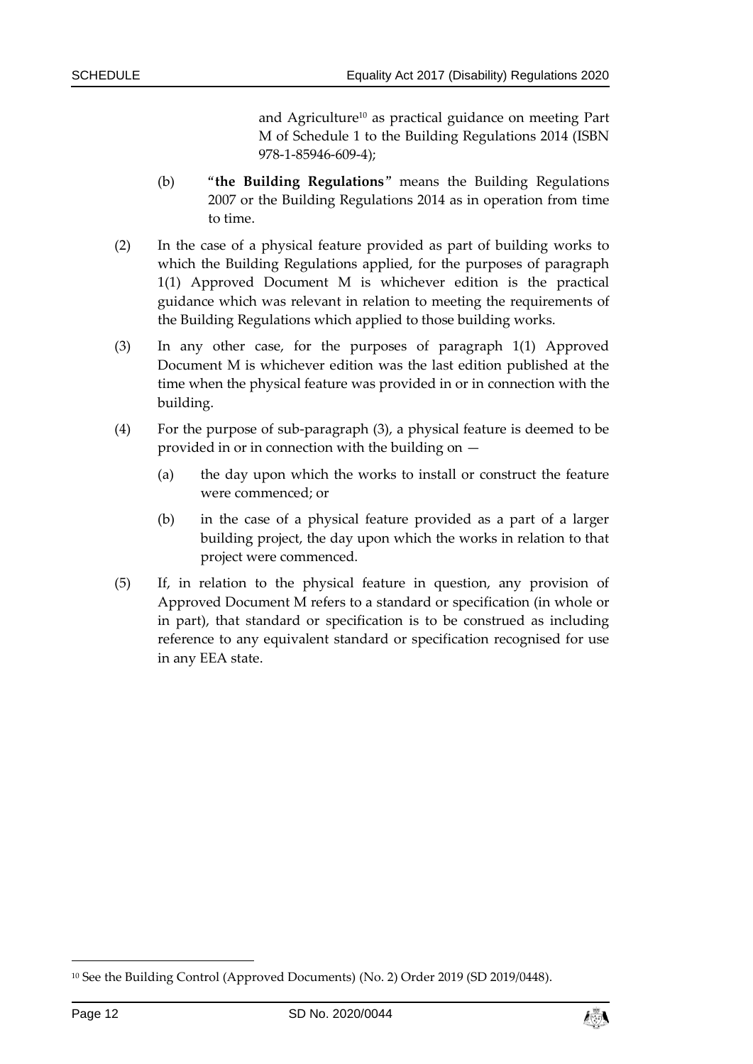and Agriculture<sup>10</sup> as practical guidance on meeting Part M of Schedule 1 to the Building Regulations 2014 (ISBN 978-1-85946-609-4);

- (b) "**the Building Regulations**" means the Building Regulations 2007 or the Building Regulations 2014 as in operation from time to time.
- (2) In the case of a physical feature provided as part of building works to which the Building Regulations applied, for the purposes of paragraph 1(1) Approved Document M is whichever edition is the practical guidance which was relevant in relation to meeting the requirements of the Building Regulations which applied to those building works.
- (3) In any other case, for the purposes of paragraph 1(1) Approved Document M is whichever edition was the last edition published at the time when the physical feature was provided in or in connection with the building.
- (4) For the purpose of sub-paragraph (3), a physical feature is deemed to be provided in or in connection with the building on —
	- (a) the day upon which the works to install or construct the feature were commenced; or
	- (b) in the case of a physical feature provided as a part of a larger building project, the day upon which the works in relation to that project were commenced.
- (5) If, in relation to the physical feature in question, any provision of Approved Document M refers to a standard or specification (in whole or in part), that standard or specification is to be construed as including reference to any equivalent standard or specification recognised for use in any EEA state.

-



<sup>10</sup> See the Building Control (Approved Documents) (No. 2) Order 2019 (SD 2019/0448).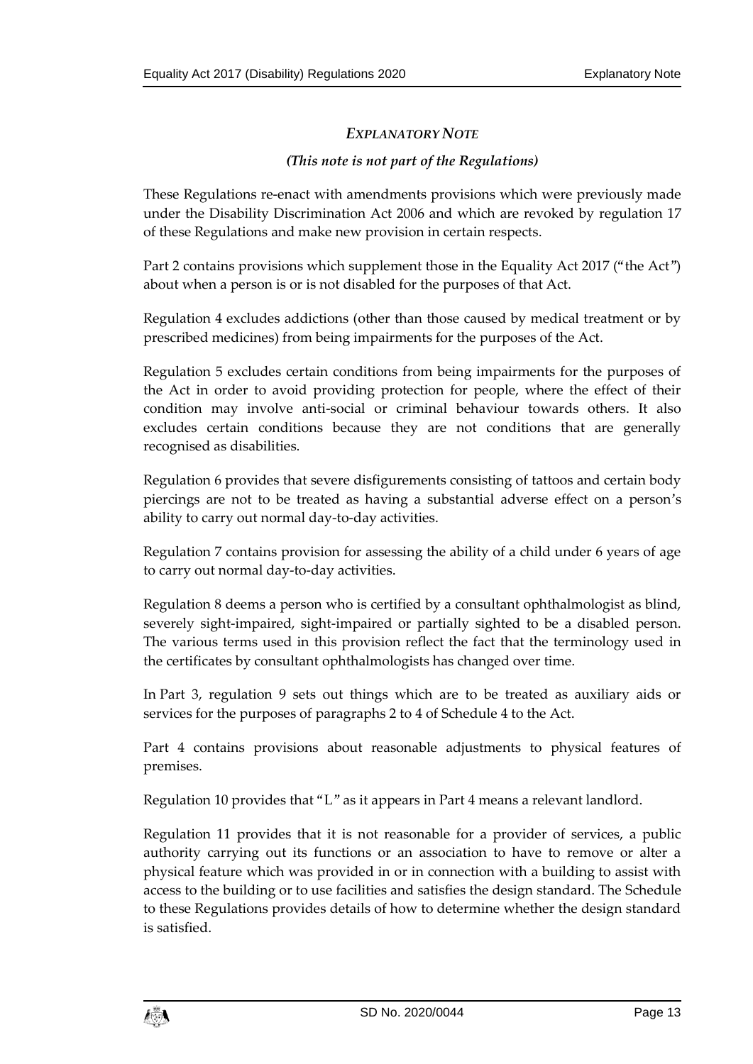# *EXPLANATORY NOTE*

## *(This note is not part of the Regulations)*

These Regulations re-enact with amendments provisions which were previously made under the Disability Discrimination Act 2006 and which are revoked by regulation 17 of these Regulations and make new provision in certain respects.

Part 2 contains provisions which supplement those in the Equality Act 2017 ("the Act") about when a person is or is not disabled for the purposes of that Act.

Regulation 4 excludes addictions (other than those caused by medical treatment or by prescribed medicines) from being impairments for the purposes of the Act.

Regulation 5 excludes certain conditions from being impairments for the purposes of the Act in order to avoid providing protection for people, where the effect of their condition may involve anti-social or criminal behaviour towards others. It also excludes certain conditions because they are not conditions that are generally recognised as disabilities.

Regulation 6 provides that severe disfigurements consisting of tattoos and certain body piercings are not to be treated as having a substantial adverse effect on a person's ability to carry out normal day-to-day activities.

Regulation 7 contains provision for assessing the ability of a child under 6 years of age to carry out normal day-to-day activities.

Regulation 8 deems a person who is certified by a consultant ophthalmologist as blind, severely sight-impaired, sight-impaired or partially sighted to be a disabled person. The various terms used in this provision reflect the fact that the terminology used in the certificates by consultant ophthalmologists has changed over time.

In Part 3, regulation 9 sets out things which are to be treated as auxiliary aids or services for the purposes of paragraphs 2 to 4 of Schedule 4 to the Act.

Part 4 contains provisions about reasonable adjustments to physical features of premises.

Regulation 10 provides that "L" as it appears in Part 4 means a relevant landlord.

Regulation 11 provides that it is not reasonable for a provider of services, a public authority carrying out its functions or an association to have to remove or alter a physical feature which was provided in or in connection with a building to assist with access to the building or to use facilities and satisfies the design standard. The Schedule to these Regulations provides details of how to determine whether the design standard is satisfied.